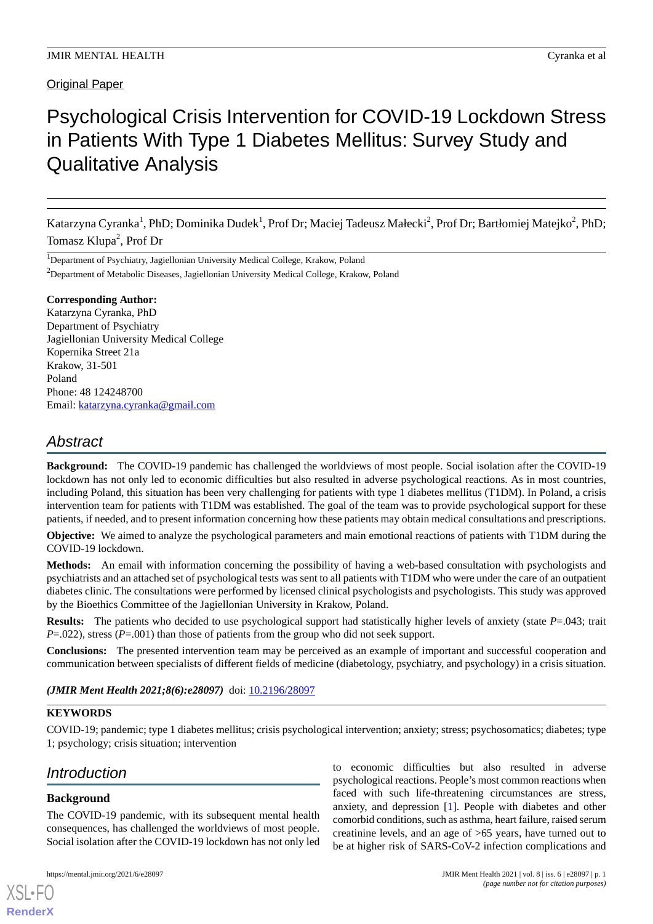### Original Paper

# Psychological Crisis Intervention for COVID-19 Lockdown Stress in Patients With Type 1 Diabetes Mellitus: Survey Study and Qualitative Analysis

Katarzyna Cyranka<sup>1</sup>, PhD; Dominika Dudek<sup>1</sup>, Prof Dr; Maciej Tadeusz Małecki<sup>2</sup>, Prof Dr; Bartłomiej Matejko<sup>2</sup>, PhD; Tomasz Klupa<sup>2</sup>, Prof Dr

<sup>1</sup>Department of Psychiatry, Jagiellonian University Medical College, Krakow, Poland

<sup>2</sup>Department of Metabolic Diseases, Jagiellonian University Medical College, Krakow, Poland

### **Corresponding Author:**

Katarzyna Cyranka, PhD Department of Psychiatry Jagiellonian University Medical College Kopernika Street 21a Krakow, 31-501 Poland Phone: 48 124248700 Email: [katarzyna.cyranka@gmail.com](mailto:katarzyna.cyranka@gmail.com)

## *Abstract*

**Background:** The COVID-19 pandemic has challenged the worldviews of most people. Social isolation after the COVID-19 lockdown has not only led to economic difficulties but also resulted in adverse psychological reactions. As in most countries, including Poland, this situation has been very challenging for patients with type 1 diabetes mellitus (T1DM). In Poland, a crisis intervention team for patients with T1DM was established. The goal of the team was to provide psychological support for these patients, if needed, and to present information concerning how these patients may obtain medical consultations and prescriptions.

**Objective:** We aimed to analyze the psychological parameters and main emotional reactions of patients with T1DM during the COVID-19 lockdown.

**Methods:** An email with information concerning the possibility of having a web-based consultation with psychologists and psychiatrists and an attached set of psychological tests was sent to all patients with T1DM who were under the care of an outpatient diabetes clinic. The consultations were performed by licensed clinical psychologists and psychologists. This study was approved by the Bioethics Committee of the Jagiellonian University in Krakow, Poland.

**Results:** The patients who decided to use psychological support had statistically higher levels of anxiety (state *P*=.043; trait *P*=.022), stress (*P*=.001) than those of patients from the group who did not seek support.

**Conclusions:** The presented intervention team may be perceived as an example of important and successful cooperation and communication between specialists of different fields of medicine (diabetology, psychiatry, and psychology) in a crisis situation.

(JMIR Ment Health 2021;8(6):e28097) doi: [10.2196/28097](http://dx.doi.org/10.2196/28097)

### **KEYWORDS**

COVID-19; pandemic; type 1 diabetes mellitus; crisis psychological intervention; anxiety; stress; psychosomatics; diabetes; type 1; psychology; crisis situation; intervention

### *Introduction*

### **Background**

[XSL](http://www.w3.org/Style/XSL)•FO **[RenderX](http://www.renderx.com/)**

The COVID-19 pandemic, with its subsequent mental health consequences, has challenged the worldviews of most people. Social isolation after the COVID-19 lockdown has not only led

to economic difficulties but also resulted in adverse psychological reactions. People's most common reactions when faced with such life-threatening circumstances are stress, anxiety, and depression [\[1](#page-6-0)]. People with diabetes and other comorbid conditions, such as asthma, heart failure, raised serum creatinine levels, and an age of >65 years, have turned out to be at higher risk of SARS-CoV-2 infection complications and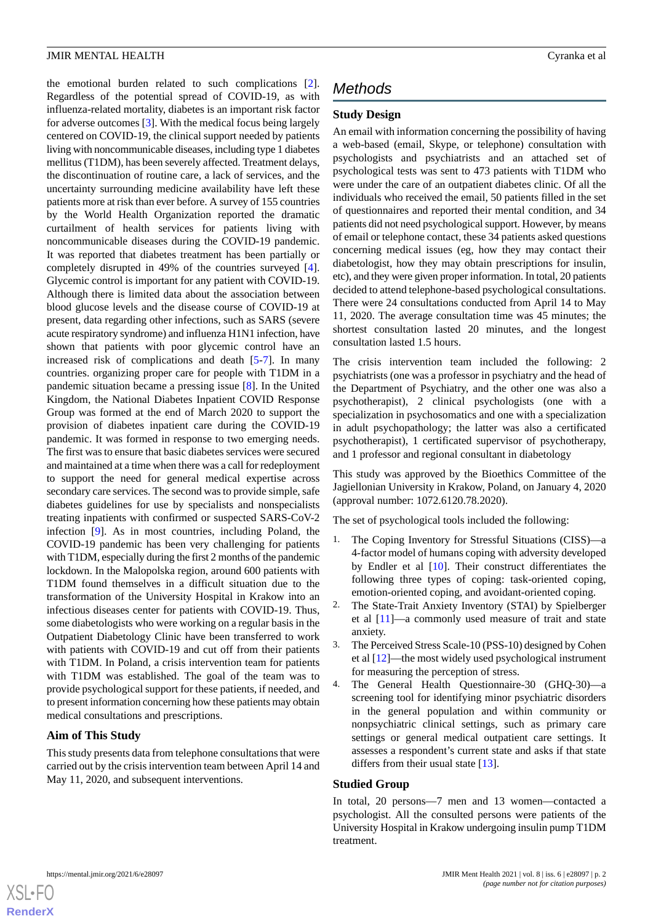the emotional burden related to such complications [[2\]](#page-6-1). Regardless of the potential spread of COVID-19, as with influenza-related mortality, diabetes is an important risk factor for adverse outcomes [[3\]](#page-6-2). With the medical focus being largely centered on COVID-19, the clinical support needed by patients living with noncommunicable diseases, including type 1 diabetes mellitus (T1DM), has been severely affected. Treatment delays, the discontinuation of routine care, a lack of services, and the uncertainty surrounding medicine availability have left these patients more at risk than ever before. A survey of 155 countries by the World Health Organization reported the dramatic curtailment of health services for patients living with noncommunicable diseases during the COVID-19 pandemic. It was reported that diabetes treatment has been partially or completely disrupted in 49% of the countries surveyed [[4\]](#page-6-3). Glycemic control is important for any patient with COVID-19. Although there is limited data about the association between blood glucose levels and the disease course of COVID-19 at present, data regarding other infections, such as SARS (severe acute respiratory syndrome) and influenza H1N1 infection, have shown that patients with poor glycemic control have an increased risk of complications and death [\[5](#page-6-4)-[7\]](#page-6-5). In many countries. organizing proper care for people with T1DM in a pandemic situation became a pressing issue [\[8\]](#page-6-6). In the United Kingdom, the National Diabetes Inpatient COVID Response Group was formed at the end of March 2020 to support the provision of diabetes inpatient care during the COVID-19 pandemic. It was formed in response to two emerging needs. The first was to ensure that basic diabetes services were secured and maintained at a time when there was a call for redeployment to support the need for general medical expertise across secondary care services. The second was to provide simple, safe diabetes guidelines for use by specialists and nonspecialists treating inpatients with confirmed or suspected SARS-CoV-2 infection [[9\]](#page-6-7). As in most countries, including Poland, the COVID-19 pandemic has been very challenging for patients with T1DM, especially during the first 2 months of the pandemic lockdown. In the Malopolska region, around 600 patients with T1DM found themselves in a difficult situation due to the transformation of the University Hospital in Krakow into an infectious diseases center for patients with COVID-19. Thus, some diabetologists who were working on a regular basis in the Outpatient Diabetology Clinic have been transferred to work with patients with COVID-19 and cut off from their patients with T1DM. In Poland, a crisis intervention team for patients with T1DM was established. The goal of the team was to provide psychological support for these patients, if needed, and to present information concerning how these patients may obtain medical consultations and prescriptions.

### **Aim of This Study**

This study presents data from telephone consultations that were carried out by the crisis intervention team between April 14 and May 11, 2020, and subsequent interventions.

# *Methods*

### **Study Design**

An email with information concerning the possibility of having a web-based (email, Skype, or telephone) consultation with psychologists and psychiatrists and an attached set of psychological tests was sent to 473 patients with T1DM who were under the care of an outpatient diabetes clinic. Of all the individuals who received the email, 50 patients filled in the set of questionnaires and reported their mental condition, and 34 patients did not need psychological support. However, by means of email or telephone contact, these 34 patients asked questions concerning medical issues (eg, how they may contact their diabetologist, how they may obtain prescriptions for insulin, etc), and they were given proper information. In total, 20 patients decided to attend telephone-based psychological consultations. There were 24 consultations conducted from April 14 to May 11, 2020. The average consultation time was 45 minutes; the shortest consultation lasted 20 minutes, and the longest consultation lasted 1.5 hours.

The crisis intervention team included the following: 2 psychiatrists (one was a professor in psychiatry and the head of the Department of Psychiatry, and the other one was also a psychotherapist), 2 clinical psychologists (one with a specialization in psychosomatics and one with a specialization in adult psychopathology; the latter was also a certificated psychotherapist), 1 certificated supervisor of psychotherapy, and 1 professor and regional consultant in diabetology

This study was approved by the Bioethics Committee of the Jagiellonian University in Krakow, Poland, on January 4, 2020 (approval number: 1072.6120.78.2020).

The set of psychological tools included the following:

- 1. The Coping Inventory for Stressful Situations (CISS)—a 4-factor model of humans coping with adversity developed by Endler et al [\[10](#page-6-8)]. Their construct differentiates the following three types of coping: task-oriented coping, emotion-oriented coping, and avoidant-oriented coping.
- 2. The State-Trait Anxiety Inventory (STAI) by Spielberger et al [\[11](#page-6-9)]—a commonly used measure of trait and state anxiety.
- 3. The Perceived Stress Scale-10 (PSS-10) designed by Cohen et al [[12\]](#page-6-10)—the most widely used psychological instrument for measuring the perception of stress.
- 4. The General Health Questionnaire-30 (GHQ-30)—a screening tool for identifying minor psychiatric disorders in the general population and within community or nonpsychiatric clinical settings, such as primary care settings or general medical outpatient care settings. It assesses a respondent's current state and asks if that state differs from their usual state [[13\]](#page-6-11).

### **Studied Group**

In total, 20 persons—7 men and 13 women—contacted a psychologist. All the consulted persons were patients of the University Hospital in Krakow undergoing insulin pump T1DM treatment.

```
XSL•FO
RenderX
```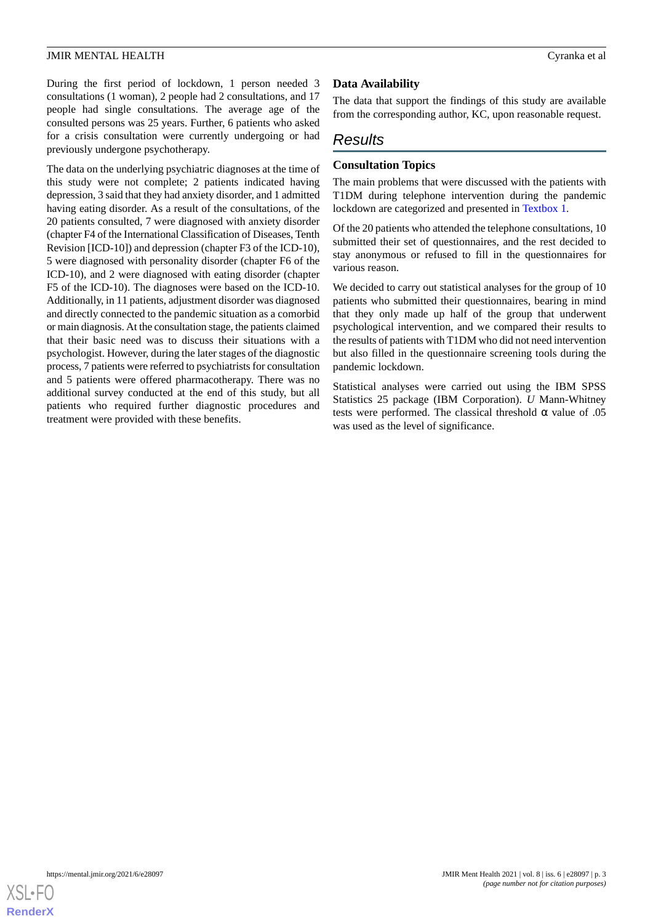During the first period of lockdown, 1 person needed 3 consultations (1 woman), 2 people had 2 consultations, and 17 people had single consultations. The average age of the consulted persons was 25 years. Further, 6 patients who asked for a crisis consultation were currently undergoing or had previously undergone psychotherapy.

The data on the underlying psychiatric diagnoses at the time of this study were not complete; 2 patients indicated having depression, 3 said that they had anxiety disorder, and 1 admitted having eating disorder. As a result of the consultations, of the 20 patients consulted, 7 were diagnosed with anxiety disorder (chapter F4 of the International Classification of Diseases, Tenth Revision [ICD-10]) and depression (chapter F3 of the ICD-10), 5 were diagnosed with personality disorder (chapter F6 of the ICD-10), and 2 were diagnosed with eating disorder (chapter F5 of the ICD-10). The diagnoses were based on the ICD-10. Additionally, in 11 patients, adjustment disorder was diagnosed and directly connected to the pandemic situation as a comorbid or main diagnosis. At the consultation stage, the patients claimed that their basic need was to discuss their situations with a psychologist. However, during the later stages of the diagnostic process, 7 patients were referred to psychiatrists for consultation and 5 patients were offered pharmacotherapy. There was no additional survey conducted at the end of this study, but all patients who required further diagnostic procedures and treatment were provided with these benefits.

### **Data Availability**

The data that support the findings of this study are available from the corresponding author, KC, upon reasonable request.

### *Results*

### **Consultation Topics**

The main problems that were discussed with the patients with T1DM during telephone intervention during the pandemic lockdown are categorized and presented in [Textbox 1](#page-3-0).

Of the 20 patients who attended the telephone consultations, 10 submitted their set of questionnaires, and the rest decided to stay anonymous or refused to fill in the questionnaires for various reason.

We decided to carry out statistical analyses for the group of 10 patients who submitted their questionnaires, bearing in mind that they only made up half of the group that underwent psychological intervention, and we compared their results to the results of patients with T1DM who did not need intervention but also filled in the questionnaire screening tools during the pandemic lockdown.

Statistical analyses were carried out using the IBM SPSS Statistics 25 package (IBM Corporation). *U* Mann-Whitney tests were performed. The classical threshold  $\alpha$  value of .05 was used as the level of significance.

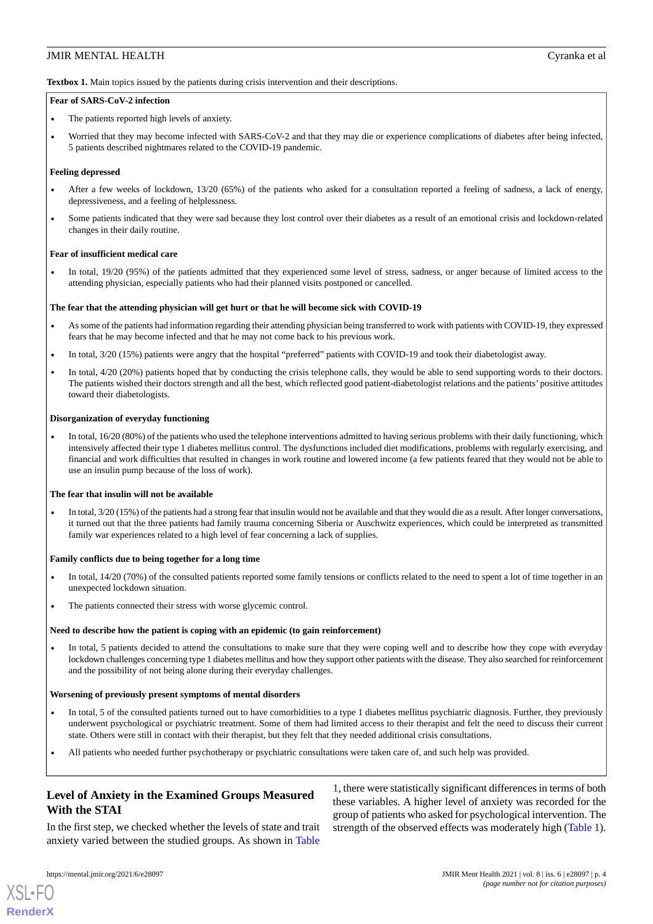<span id="page-3-0"></span>**Textbox 1.** Main topics issued by the patients during crisis intervention and their descriptions.

#### **Fear of SARS-CoV-2 infection**

- The patients reported high levels of anxiety.
- Worried that they may become infected with SARS-CoV-2 and that they may die or experience complications of diabetes after being infected, 5 patients described nightmares related to the COVID-19 pandemic.

#### **Feeling depressed**

- After a few weeks of lockdown, 13/20 (65%) of the patients who asked for a consultation reported a feeling of sadness, a lack of energy, depressiveness, and a feeling of helplessness.
- Some patients indicated that they were sad because they lost control over their diabetes as a result of an emotional crisis and lockdown-related changes in their daily routine.

#### **Fear of insufficient medical care**

In total,  $19/20$  (95%) of the patients admitted that they experienced some level of stress, sadness, or anger because of limited access to the attending physician, especially patients who had their planned visits postponed or cancelled.

#### **The fear that the attending physician will get hurt or that he will become sick with COVID-19**

- As some of the patients had information regarding their attending physician being transferred to work with patients with COVID-19, they expressed fears that he may become infected and that he may not come back to his previous work.
- In total,  $3/20$  (15%) patients were angry that the hospital "preferred" patients with COVID-19 and took their diabetologist away.
- In total, 4/20 (20%) patients hoped that by conducting the crisis telephone calls, they would be able to send supporting words to their doctors. The patients wished their doctors strength and all the best, which reflected good patient-diabetologist relations and the patients' positive attitudes toward their diabetologists.

#### **Disorganization of everyday functioning**

• In total, 16/20 (80%) of the patients who used the telephone interventions admitted to having serious problems with their daily functioning, which intensively affected their type 1 diabetes mellitus control. The dysfunctions included diet modifications, problems with regularly exercising, and financial and work difficulties that resulted in changes in work routine and lowered income (a few patients feared that they would not be able to use an insulin pump because of the loss of work).

#### **The fear that insulin will not be available**

• In total, 3/20 (15%) of the patients had a strong fear that insulin would not be available and that they would die as a result. After longer conversations, it turned out that the three patients had family trauma concerning Siberia or Auschwitz experiences, which could be interpreted as transmitted family war experiences related to a high level of fear concerning a lack of supplies.

#### **Family conflicts due to being together for a long time**

- In total, 14/20 (70%) of the consulted patients reported some family tensions or conflicts related to the need to spent a lot of time together in an unexpected lockdown situation.
- The patients connected their stress with worse glycemic control.

#### **Need to describe how the patient is coping with an epidemic (to gain reinforcement)**

• In total, 5 patients decided to attend the consultations to make sure that they were coping well and to describe how they cope with everyday lockdown challenges concerning type 1 diabetes mellitus and how they support other patients with the disease. They also searched for reinforcement and the possibility of not being alone during their everyday challenges.

#### **Worsening of previously present symptoms of mental disorders**

- In total, 5 of the consulted patients turned out to have comorbidities to a type 1 diabetes mellitus psychiatric diagnosis. Further, they previously underwent psychological or psychiatric treatment. Some of them had limited access to their therapist and felt the need to discuss their current state. Others were still in contact with their therapist, but they felt that they needed additional crisis consultations.
- All patients who needed further psychotherapy or psychiatric consultations were taken care of, and such help was provided.

### **Level of Anxiety in the Examined Groups Measured With the STAI**

In the first step, we checked whether the levels of state and trait anxiety varied between the studied groups. As shown in [Table](#page-4-0)

[1,](#page-4-0) there were statistically significant differences in terms of both these variables. A higher level of anxiety was recorded for the group of patients who asked for psychological intervention. The strength of the observed effects was moderately high ([Table 1\)](#page-4-0).

[XSL](http://www.w3.org/Style/XSL)•FO **[RenderX](http://www.renderx.com/)**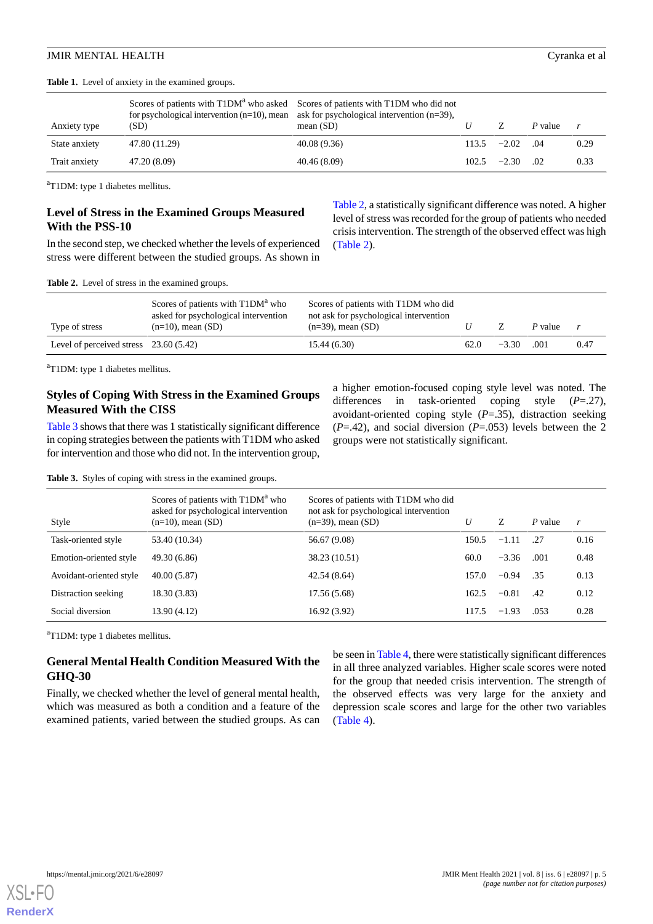<span id="page-4-0"></span>**Table 1.** Level of anxiety in the examined groups.

| Anxiety type  | for psychological intervention $(n=10)$ , mean ask for psychological intervention $(n=39)$ ,<br>(SD) | Scores of patients with T1DM <sup>a</sup> who asked Scores of patients with T1DM who did not<br>mean $(SD)$ |       |                   | P value | r    |
|---------------|------------------------------------------------------------------------------------------------------|-------------------------------------------------------------------------------------------------------------|-------|-------------------|---------|------|
| State anxiety | 47.80 (11.29)                                                                                        | 40.08 (9.36)                                                                                                |       | $113.5 -2.02$ .04 |         | 0.29 |
| Trait anxiety | 47.20 (8.09)                                                                                         | 40.46(8.09)                                                                                                 | 102.5 | $-2.30$           | - 02    | 0.33 |

<sup>a</sup>T1DM: type 1 diabetes mellitus.

### **Level of Stress in the Examined Groups Measured With the PSS-10**

<span id="page-4-1"></span>In the second step, we checked whether the levels of experienced stress were different between the studied groups. As shown in

[Table 2](#page-4-1), a statistically significant difference was noted. A higher level of stress was recorded for the group of patients who needed crisis intervention. The strength of the observed effect was high ([Table 2](#page-4-1)).

**Table 2.** Level of stress in the examined groups.

| Type of stress                          | Scores of patients with T1DM <sup>a</sup> who<br>asked for psychological intervention<br>$(n=10)$ , mean $(SD)$ | Scores of patients with T1DM who did<br>not ask for psychological intervention<br>$(n=39)$ , mean $(SD)$ |      |         | P value |      |
|-----------------------------------------|-----------------------------------------------------------------------------------------------------------------|----------------------------------------------------------------------------------------------------------|------|---------|---------|------|
| Level of perceived stress $23.60(5.42)$ |                                                                                                                 | 15.44(6.30)                                                                                              | 62.0 | $-3.30$ | .001    | 0.47 |

<sup>a</sup>T1DM: type 1 diabetes mellitus.

### **Styles of Coping With Stress in the Examined Groups Measured With the CISS**

<span id="page-4-2"></span>[Table 3](#page-4-2) shows that there was 1 statistically significant difference in coping strategies between the patients with T1DM who asked for intervention and those who did not. In the intervention group, a higher emotion-focused coping style level was noted. The differences in task-oriented coping style (*P*=.27), avoidant-oriented coping style (*P*=.35), distraction seeking (*P*=.42), and social diversion (*P*=.053) levels between the 2 groups were not statistically significant.

**Table 3.** Styles of coping with stress in the examined groups.

| Style                   | Scores of patients with T1DM <sup>a</sup> who<br>asked for psychological intervention<br>$(n=10)$ , mean $(SD)$ | Scores of patients with T1DM who did<br>not ask for psychological intervention<br>$(n=39)$ , mean $(SD)$ | U     | Z       | P value | r    |
|-------------------------|-----------------------------------------------------------------------------------------------------------------|----------------------------------------------------------------------------------------------------------|-------|---------|---------|------|
| Task-oriented style     | 53.40 (10.34)                                                                                                   | 56.67 (9.08)                                                                                             | 150.5 | $-1.11$ | .27     | 0.16 |
| Emotion-oriented style  | 49.30 (6.86)                                                                                                    | 38.23 (10.51)                                                                                            | 60.0  | $-3.36$ | .001    | 0.48 |
| Avoidant-oriented style | 40.00(5.87)                                                                                                     | 42.54 (8.64)                                                                                             | 157.0 | $-0.94$ | .35     | 0.13 |
| Distraction seeking     | 18.30 (3.83)                                                                                                    | 17.56 (5.68)                                                                                             | 162.5 | $-0.81$ | .42     | 0.12 |
| Social diversion        | 13.90 (4.12)                                                                                                    | 16.92 (3.92)                                                                                             | 117.5 | $-1.93$ | .053    | 0.28 |

<sup>a</sup>T1DM: type 1 diabetes mellitus.

### **General Mental Health Condition Measured With the GHQ-30**

Finally, we checked whether the level of general mental health, which was measured as both a condition and a feature of the examined patients, varied between the studied groups. As can

be seen in [Table 4](#page-5-0), there were statistically significant differences in all three analyzed variables. Higher scale scores were noted for the group that needed crisis intervention. The strength of the observed effects was very large for the anxiety and depression scale scores and large for the other two variables ([Table 4](#page-5-0)).

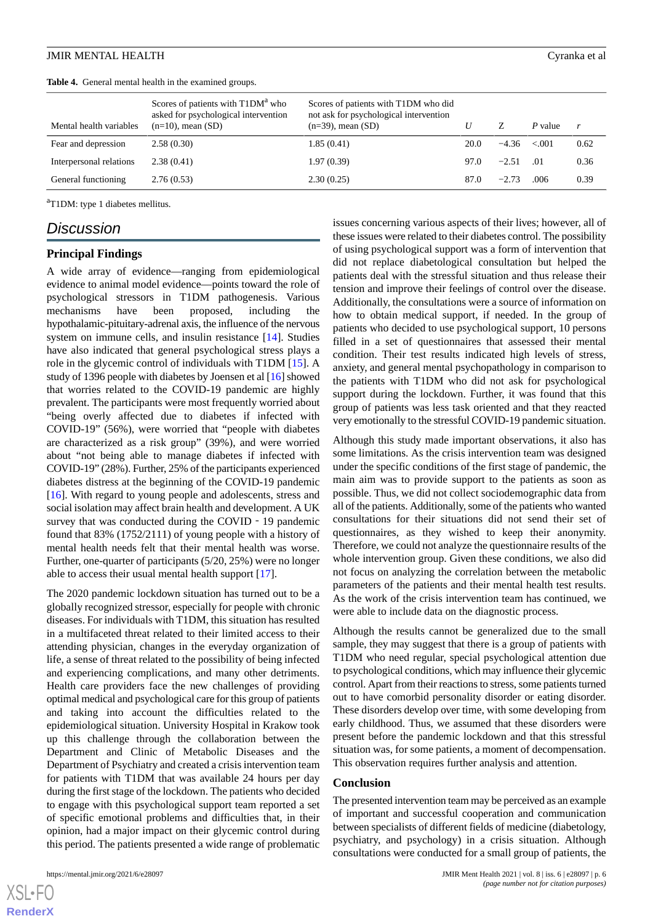<span id="page-5-0"></span>

|                         | Scores of patients with T1DM <sup>a</sup> who                | Scores of patients with T1DM who did                             |      |         |         |      |
|-------------------------|--------------------------------------------------------------|------------------------------------------------------------------|------|---------|---------|------|
| Mental health variables | asked for psychological intervention<br>$(n=10)$ , mean (SD) | not ask for psychological intervention<br>$(n=39)$ , mean $(SD)$ | U    |         | P value | r    |
| Fear and depression     | 2.58(0.30)                                                   | 1.85(0.41)                                                       | 20.0 | $-4.36$ | $-.001$ | 0.62 |
| Interpersonal relations | 2.38(0.41)                                                   | 1.97(0.39)                                                       | 97.0 | $-2.51$ | .01     | 0.36 |
| General functioning     | 2.76(0.53)                                                   | 2.30(0.25)                                                       | 87.0 | $-2.73$ | .006    | 0.39 |

<sup>a</sup>T1DM: type 1 diabetes mellitus.

### *Discussion*

#### **Principal Findings**

A wide array of evidence—ranging from epidemiological evidence to animal model evidence—points toward the role of psychological stressors in T1DM pathogenesis. Various mechanisms have been proposed, including the hypothalamic-pituitary-adrenal axis, the influence of the nervous system on immune cells, and insulin resistance [[14\]](#page-6-12). Studies have also indicated that general psychological stress plays a role in the glycemic control of individuals with T1DM [\[15](#page-6-13)]. A study of 1396 people with diabetes by Joensen et al [\[16](#page-6-14)] showed that worries related to the COVID-19 pandemic are highly prevalent. The participants were most frequently worried about "being overly affected due to diabetes if infected with COVID-19" (56%), were worried that "people with diabetes are characterized as a risk group" (39%), and were worried about "not being able to manage diabetes if infected with COVID-19" (28%). Further, 25% of the participants experienced diabetes distress at the beginning of the COVID-19 pandemic [[16\]](#page-6-14). With regard to young people and adolescents, stress and social isolation may affect brain health and development. A UK survey that was conducted during the COVID - 19 pandemic found that 83% (1752/2111) of young people with a history of mental health needs felt that their mental health was worse. Further, one-quarter of participants (5/20, 25%) were no longer able to access their usual mental health support [[17\]](#page-7-0).

The 2020 pandemic lockdown situation has turned out to be a globally recognized stressor, especially for people with chronic diseases. For individuals with T1DM, this situation has resulted in a multifaceted threat related to their limited access to their attending physician, changes in the everyday organization of life, a sense of threat related to the possibility of being infected and experiencing complications, and many other detriments. Health care providers face the new challenges of providing optimal medical and psychological care for this group of patients and taking into account the difficulties related to the epidemiological situation. University Hospital in Krakow took up this challenge through the collaboration between the Department and Clinic of Metabolic Diseases and the Department of Psychiatry and created a crisis intervention team for patients with T1DM that was available 24 hours per day during the first stage of the lockdown. The patients who decided to engage with this psychological support team reported a set of specific emotional problems and difficulties that, in their opinion, had a major impact on their glycemic control during this period. The patients presented a wide range of problematic

 $X$ SL•F $O$ **[RenderX](http://www.renderx.com/)** issues concerning various aspects of their lives; however, all of these issues were related to their diabetes control. The possibility of using psychological support was a form of intervention that did not replace diabetological consultation but helped the patients deal with the stressful situation and thus release their tension and improve their feelings of control over the disease. Additionally, the consultations were a source of information on how to obtain medical support, if needed. In the group of patients who decided to use psychological support, 10 persons filled in a set of questionnaires that assessed their mental condition. Their test results indicated high levels of stress, anxiety, and general mental psychopathology in comparison to the patients with T1DM who did not ask for psychological support during the lockdown. Further, it was found that this group of patients was less task oriented and that they reacted very emotionally to the stressful COVID-19 pandemic situation.

Although this study made important observations, it also has some limitations. As the crisis intervention team was designed under the specific conditions of the first stage of pandemic, the main aim was to provide support to the patients as soon as possible. Thus, we did not collect sociodemographic data from all of the patients. Additionally, some of the patients who wanted consultations for their situations did not send their set of questionnaires, as they wished to keep their anonymity. Therefore, we could not analyze the questionnaire results of the whole intervention group. Given these conditions, we also did not focus on analyzing the correlation between the metabolic parameters of the patients and their mental health test results. As the work of the crisis intervention team has continued, we were able to include data on the diagnostic process.

Although the results cannot be generalized due to the small sample, they may suggest that there is a group of patients with T1DM who need regular, special psychological attention due to psychological conditions, which may influence their glycemic control. Apart from their reactions to stress, some patients turned out to have comorbid personality disorder or eating disorder. These disorders develop over time, with some developing from early childhood. Thus, we assumed that these disorders were present before the pandemic lockdown and that this stressful situation was, for some patients, a moment of decompensation. This observation requires further analysis and attention.

#### **Conclusion**

The presented intervention team may be perceived as an example of important and successful cooperation and communication between specialists of different fields of medicine (diabetology, psychiatry, and psychology) in a crisis situation. Although consultations were conducted for a small group of patients, the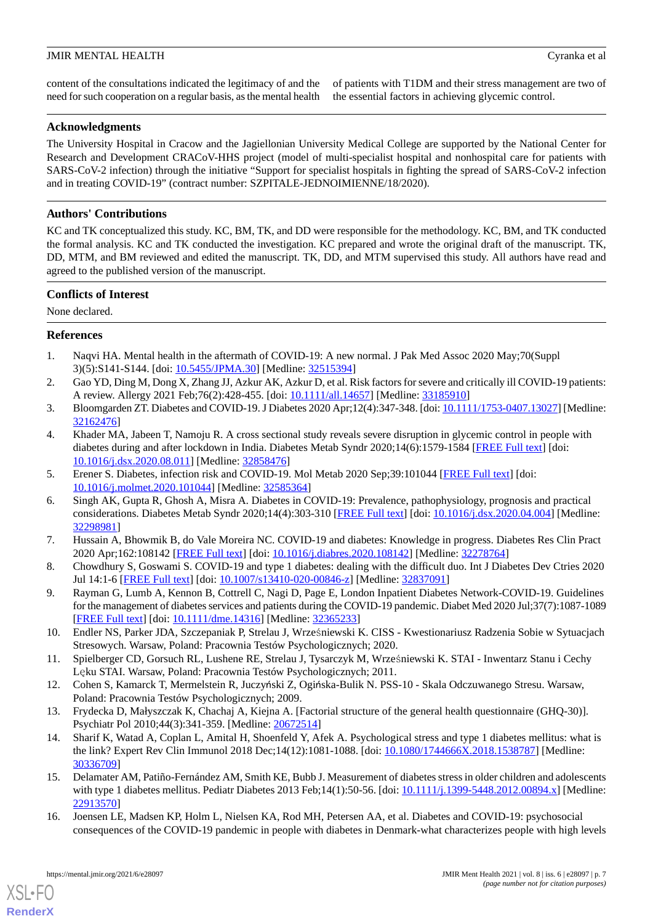content of the consultations indicated the legitimacy of and the need for such cooperation on a regular basis, as the mental health of patients with T1DM and their stress management are two of the essential factors in achieving glycemic control.

### **Acknowledgments**

The University Hospital in Cracow and the Jagiellonian University Medical College are supported by the National Center for Research and Development CRACoV-HHS project (model of multi-specialist hospital and nonhospital care for patients with SARS-CoV-2 infection) through the initiative "Support for specialist hospitals in fighting the spread of SARS-CoV-2 infection and in treating COVID-19" (contract number: SZPITALE-JEDNOIMIENNE/18/2020).

### **Authors' Contributions**

KC and TK conceptualized this study. KC, BM, TK, and DD were responsible for the methodology. KC, BM, and TK conducted the formal analysis. KC and TK conducted the investigation. KC prepared and wrote the original draft of the manuscript. TK, DD, MTM, and BM reviewed and edited the manuscript. TK, DD, and MTM supervised this study. All authors have read and agreed to the published version of the manuscript.

### **Conflicts of Interest**

<span id="page-6-0"></span>None declared.

### <span id="page-6-1"></span>**References**

- 1. Naqvi HA. Mental health in the aftermath of COVID-19: A new normal. J Pak Med Assoc 2020 May;70(Suppl 3)(5):S141-S144. [doi: [10.5455/JPMA.30\]](http://dx.doi.org/10.5455/JPMA.30) [Medline: [32515394](http://www.ncbi.nlm.nih.gov/entrez/query.fcgi?cmd=Retrieve&db=PubMed&list_uids=32515394&dopt=Abstract)]
- <span id="page-6-3"></span><span id="page-6-2"></span>2. Gao YD, Ding M, Dong X, Zhang JJ, Azkur AK, Azkur D, et al. Risk factors for severe and critically ill COVID-19 patients: A review. Allergy 2021 Feb;76(2):428-455. [doi: [10.1111/all.14657](http://dx.doi.org/10.1111/all.14657)] [Medline: [33185910](http://www.ncbi.nlm.nih.gov/entrez/query.fcgi?cmd=Retrieve&db=PubMed&list_uids=33185910&dopt=Abstract)]
- 3. Bloomgarden ZT. Diabetes and COVID-19. J Diabetes 2020 Apr;12(4):347-348. [doi: [10.1111/1753-0407.13027\]](http://dx.doi.org/10.1111/1753-0407.13027) [Medline: [32162476](http://www.ncbi.nlm.nih.gov/entrez/query.fcgi?cmd=Retrieve&db=PubMed&list_uids=32162476&dopt=Abstract)]
- <span id="page-6-4"></span>4. Khader MA, Jabeen T, Namoju R. A cross sectional study reveals severe disruption in glycemic control in people with diabetes during and after lockdown in India. Diabetes Metab Syndr 2020;14(6):1579-1584 [[FREE Full text](http://europepmc.org/abstract/MED/32858476)] [doi: [10.1016/j.dsx.2020.08.011\]](http://dx.doi.org/10.1016/j.dsx.2020.08.011) [Medline: [32858476](http://www.ncbi.nlm.nih.gov/entrez/query.fcgi?cmd=Retrieve&db=PubMed&list_uids=32858476&dopt=Abstract)]
- 5. Erener S. Diabetes, infection risk and COVID-19. Mol Metab 2020 Sep;39:101044 [\[FREE Full text\]](https://linkinghub.elsevier.com/retrieve/pii/S2212-8778(20)30118-6) [doi: [10.1016/j.molmet.2020.101044\]](http://dx.doi.org/10.1016/j.molmet.2020.101044) [Medline: [32585364](http://www.ncbi.nlm.nih.gov/entrez/query.fcgi?cmd=Retrieve&db=PubMed&list_uids=32585364&dopt=Abstract)]
- <span id="page-6-6"></span><span id="page-6-5"></span>6. Singh AK, Gupta R, Ghosh A, Misra A. Diabetes in COVID-19: Prevalence, pathophysiology, prognosis and practical considerations. Diabetes Metab Syndr 2020;14(4):303-310 [[FREE Full text](http://europepmc.org/abstract/MED/32298981)] [doi: [10.1016/j.dsx.2020.04.004](http://dx.doi.org/10.1016/j.dsx.2020.04.004)] [Medline: [32298981](http://www.ncbi.nlm.nih.gov/entrez/query.fcgi?cmd=Retrieve&db=PubMed&list_uids=32298981&dopt=Abstract)]
- <span id="page-6-7"></span>7. Hussain A, Bhowmik B, do Vale Moreira NC. COVID-19 and diabetes: Knowledge in progress. Diabetes Res Clin Pract 2020 Apr;162:108142 [[FREE Full text](https://linkinghub.elsevier.com/retrieve/pii/S0168-8227(20)30392-2)] [doi: [10.1016/j.diabres.2020.108142](http://dx.doi.org/10.1016/j.diabres.2020.108142)] [Medline: [32278764\]](http://www.ncbi.nlm.nih.gov/entrez/query.fcgi?cmd=Retrieve&db=PubMed&list_uids=32278764&dopt=Abstract)
- <span id="page-6-8"></span>8. Chowdhury S, Goswami S. COVID-19 and type 1 diabetes: dealing with the difficult duo. Int J Diabetes Dev Ctries 2020 Jul 14:1-6 [[FREE Full text](http://europepmc.org/abstract/MED/32837091)] [doi: [10.1007/s13410-020-00846-z\]](http://dx.doi.org/10.1007/s13410-020-00846-z) [Medline: [32837091\]](http://www.ncbi.nlm.nih.gov/entrez/query.fcgi?cmd=Retrieve&db=PubMed&list_uids=32837091&dopt=Abstract)
- <span id="page-6-9"></span>9. Rayman G, Lumb A, Kennon B, Cottrell C, Nagi D, Page E, London Inpatient Diabetes Network-COVID-19. Guidelines for the management of diabetes services and patients during the COVID-19 pandemic. Diabet Med 2020 Jul;37(7):1087-1089 [[FREE Full text](https://onlinelibrary.wiley.com/doi/full/10.1111/dme.14316)] [doi: [10.1111/dme.14316\]](http://dx.doi.org/10.1111/dme.14316) [Medline: [32365233](http://www.ncbi.nlm.nih.gov/entrez/query.fcgi?cmd=Retrieve&db=PubMed&list_uids=32365233&dopt=Abstract)]
- <span id="page-6-11"></span><span id="page-6-10"></span>10. Endler NS, Parker JDA, Szczepaniak P, Strelau J, Wrześniewski K. CISS - Kwestionariusz Radzenia Sobie w Sytuacjach Stresowych. Warsaw, Poland: Pracownia Testów Psychologicznych; 2020.
- <span id="page-6-12"></span>11. Spielberger CD, Gorsuch RL, Lushene RE, Strelau J, Tysarczyk M, Wrześniewski K. STAI - Inwentarz Stanu i Cechy Lęku STAI. Warsaw, Poland: Pracownia Testów Psychologicznych; 2011.
- 12. Cohen S, Kamarck T, Mermelstein R, Juczyński Z, Ogińska-Bulik N. PSS-10 Skala Odczuwanego Stresu. Warsaw, Poland: Pracownia Testów Psychologicznych; 2009.
- <span id="page-6-13"></span>13. Frydecka D, Małyszczak K, Chachaj A, Kiejna A. [Factorial structure of the general health questionnaire (GHQ-30)]. Psychiatr Pol 2010;44(3):341-359. [Medline: [20672514\]](http://www.ncbi.nlm.nih.gov/entrez/query.fcgi?cmd=Retrieve&db=PubMed&list_uids=20672514&dopt=Abstract)
- <span id="page-6-14"></span>14. Sharif K, Watad A, Coplan L, Amital H, Shoenfeld Y, Afek A. Psychological stress and type 1 diabetes mellitus: what is the link? Expert Rev Clin Immunol 2018 Dec;14(12):1081-1088. [doi: [10.1080/1744666X.2018.1538787](http://dx.doi.org/10.1080/1744666X.2018.1538787)] [Medline: [30336709](http://www.ncbi.nlm.nih.gov/entrez/query.fcgi?cmd=Retrieve&db=PubMed&list_uids=30336709&dopt=Abstract)]
- 15. Delamater AM, Patiño-Fernández AM, Smith KE, Bubb J. Measurement of diabetes stress in older children and adolescents with type 1 diabetes mellitus. Pediatr Diabetes 2013 Feb;14(1):50-56. [doi: [10.1111/j.1399-5448.2012.00894.x\]](http://dx.doi.org/10.1111/j.1399-5448.2012.00894.x) [Medline: [22913570](http://www.ncbi.nlm.nih.gov/entrez/query.fcgi?cmd=Retrieve&db=PubMed&list_uids=22913570&dopt=Abstract)]
- 16. Joensen LE, Madsen KP, Holm L, Nielsen KA, Rod MH, Petersen AA, et al. Diabetes and COVID-19: psychosocial consequences of the COVID-19 pandemic in people with diabetes in Denmark-what characterizes people with high levels

[XSL](http://www.w3.org/Style/XSL)•FO **[RenderX](http://www.renderx.com/)**